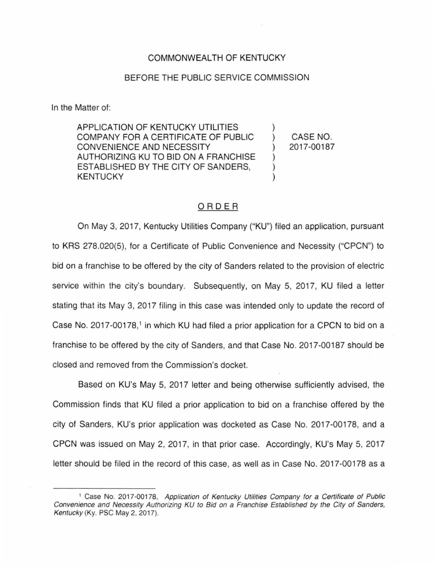## COMMONWEALTH OF KENTUCKY

## BEFORE THE PUBLIC SERVICE COMMISSION

In the Matter of:

APPLICATION OF KENTUCKY UTILITIES COMPANY FOR A CERTIFICATE OF PUBLIC CONVENIENCE AND NECESSITY AUTHORIZING KU TO BID ON A FRANCHISE ESTABLISHED BY THE CITY OF SANDERS, **KENTUCKY** 

) CASE NO. ) 2017-00187

)

) ) )

## ORDER

On May 3, 2017, Kentucky Utilities Company ("KU") filed an application, pursuant to KRS 278.020(5), for a Certificate of Public Convenience and Necessity ("CPCN") to bid on a franchise to be offered by the city of Sanders related to the provision of electric service within the city's boundary. Subsequently, on May 5, 2017, KU filed a letter stating that its May 3, 2017 filing in this case was intended only to update the record of Case No. 2017-00178,<sup>1</sup> in which KU had filed a prior application for a CPCN to bid on a franchise to be offered by the city of Sanders, and that Case No. 2017-00187 should be closed and removed from the Commission's docket.

Based on KU's May 5, 2017 letter and being otherwise sufficiently advised, the Commission finds that KU filed a prior application to bid on a franchise offered by the city of Sanders, KU's prior application was docketed as Case No. 2017-00178, and a CPCN was issued on May 2, 2017, in that prior case. Accordingly, KU's May 5, 2017 letter should be filed in the record of this case, as well as in Case No. 2017-00178 as a

<sup>&</sup>lt;sup>1</sup> Case No. 2017-00178, Application of Kentucky Utilities Company for a Certificate of Public Convenience and Necessity Authorizing KU to Bid on a Franchise Established by the City of Sanders, Kentucky (Ky. PSC May 2, 2017).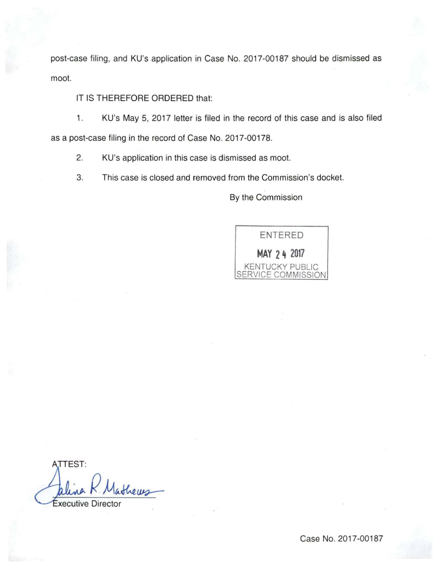post-case filing, and KU's application in Case No. 2017-00187 should be dismissed as moot.

## IT IS THEREFORE ORDERED that:

1. KU's May 5, 2017 letter is filed in the record of this case and is also filed as a post-case filing in the record of Case No. 2017-00178.

2. KU's application in this case is dismissed as moot.

3. This case is closed and removed from the Commission's docket.

By the Commission



**TTEST:** thews xecutive Directo